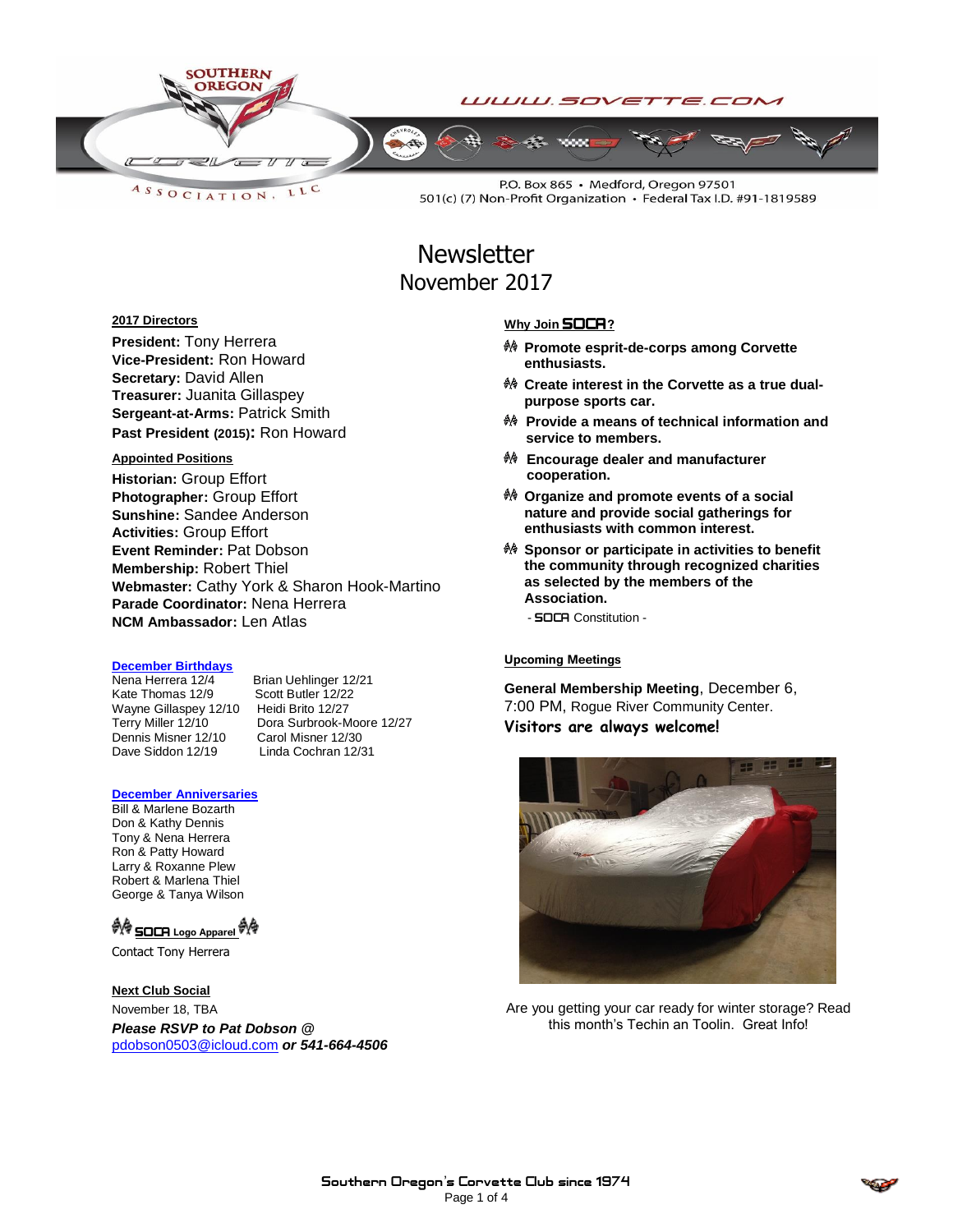

LLC ASSOCIATION.

P.O. Box 865 · Medford, Oregon 97501 501(c) (7) Non-Profit Organization • Federal Tax I.D. #91-1819589

# **Newsletter** November 2017

### **2017 Directors**

**President:** Tony Herrera **Vice-President:** Ron Howard **Secretary:** David Allen **Treasurer:** Juanita Gillaspey **Sergeant-at-Arms:** Patrick Smith **Past President (2015):** Ron Howard

#### **Appointed Positions**

**Historian:** Group Effort **Photographer:** Group Effort **Sunshine:** Sandee Anderson **Activities:** Group Effort **Event Reminder:** Pat Dobson **Membership:** Robert Thiel **Webmaster:** Cathy York & Sharon Hook-Martino **Parade Coordinator:** Nena Herrera **NCM Ambassador:** Len Atlas

#### **December Birthdays**

Kate Thomas 12/9 Scott Butler 12/22<br>Wayne Gillaspey 12/10 Heidi Brito 12/27 Wayne Gillaspey 12/10<br>Terry Miller 12/10 Dennis Misner 12/10 Carol Misner 12/30<br>Dave Siddon 12/19 Linda Cochran 12/3

Nena Herrera 12/4 Brian Uehlinger 12/21<br>Kate Thomas 12/9 Scott Butler 12/22 Dora Surbrook-Moore 12/27 Linda Cochran 12/31

#### **December Anniversaries**

Bill & Marlene Bozarth Don & Kathy Dennis Tony & Nena Herrera Ron & Patty Howard Larry & Roxanne Plew Robert & Marlena Thiel George & Tanya Wilson

### <sup>● S</sup>OCA Logo Apparel <sup>● S</sup>

Contact Tony Herrera

#### **Next Club Social**

November 18, TBA *Please RSVP to Pat Dobson @*  [pdobson0503@icloud.com](mailto:pdobson0503@icloud.com) *or 541-664-4506*

#### **Why Join SOCA?**

- **Promote esprit-de-corps among Corvette enthusiasts.**
- **Create interest in the Corvette as a true dualpurpose sports car.**
- **Provide a means of technical information and service to members.**
- **Encourage dealer and manufacturer cooperation.**
- **Organize and promote events of a social nature and provide social gatherings for enthusiasts with common interest.**
- **Sponsor or participate in activities to benefit the community through recognized charities as selected by the members of the Association.**

- **SOCA** Constitution -

#### **Upcoming Meetings**

**General Membership Meeting**, December 6, 7:00 PM, Rogue River Community Center. **Visitors are always welcome!**



Are you getting your car ready for winter storage? Read this month's Techin an Toolin. Great Info!

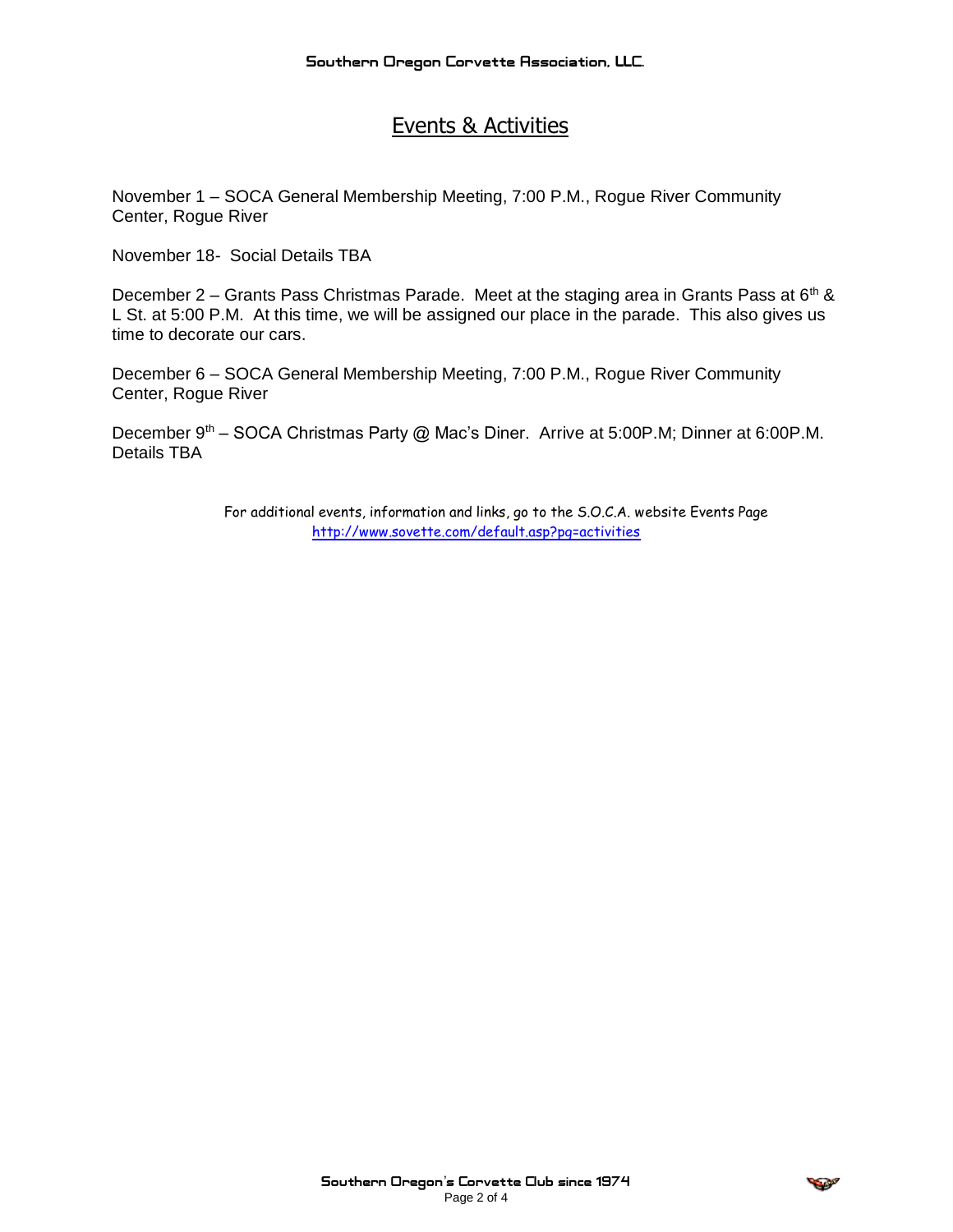# Events & Activities

November 1 – SOCA General Membership Meeting, 7:00 P.M., Rogue River Community Center, Rogue River

November 18- Social Details TBA

December 2 – Grants Pass Christmas Parade. Meet at the staging area in Grants Pass at  $6<sup>th</sup>$  & L St. at 5:00 P.M. At this time, we will be assigned our place in the parade. This also gives us time to decorate our cars.

December 6 – SOCA General Membership Meeting, 7:00 P.M., Rogue River Community Center, Rogue River

December 9<sup>th</sup> – SOCA Christmas Party @ Mac's Diner. Arrive at 5:00P.M; Dinner at 6:00P.M. Details TBA

> For additional events, information and links, go to the S.O.C.A. website Events Page <http://www.sovette.com/default.asp?pg=activities>

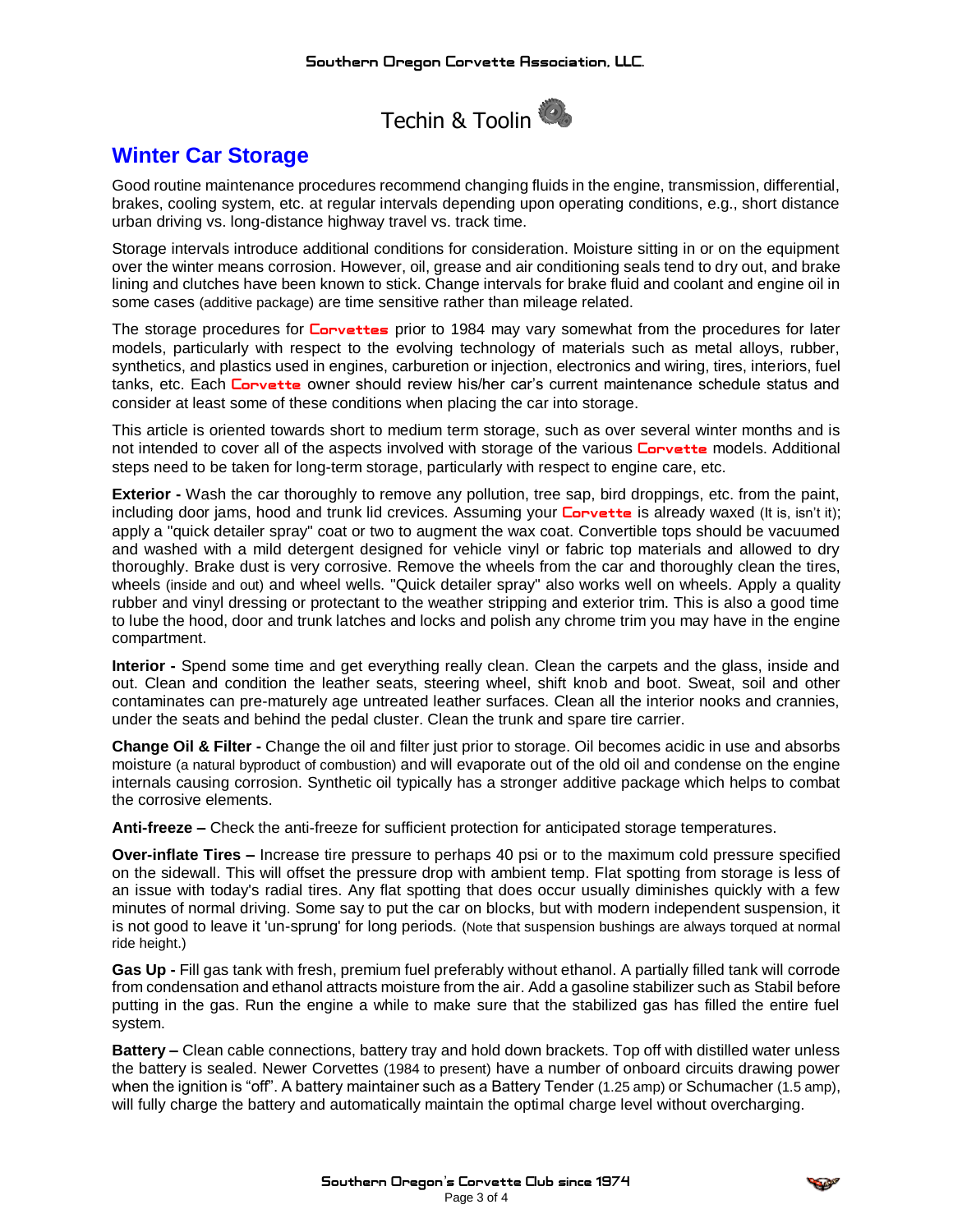

# **Winter Car Storage**

Good routine maintenance procedures recommend changing fluids in the engine, transmission, differential, brakes, cooling system, etc. at regular intervals depending upon operating conditions, e.g., short distance urban driving vs. long-distance highway travel vs. track time.

Storage intervals introduce additional conditions for consideration. Moisture sitting in or on the equipment over the winter means corrosion. However, oil, grease and air conditioning seals tend to dry out, and brake lining and clutches have been known to stick. Change intervals for brake fluid and coolant and engine oil in some cases (additive package) are time sensitive rather than mileage related.

The storage procedures for **Corvettes** prior to 1984 may vary somewhat from the procedures for later models, particularly with respect to the evolving technology of materials such as metal alloys, rubber, synthetics, and plastics used in engines, carburetion or injection, electronics and wiring, tires, interiors, fuel tanks, etc. Each **Corvette** owner should review his/her car's current maintenance schedule status and consider at least some of these conditions when placing the car into storage.

This article is oriented towards short to medium term storage, such as over several winter months and is not intended to cover all of the aspects involved with storage of the various **Corvette** models. Additional steps need to be taken for long-term storage, particularly with respect to engine care, etc.

**Exterior -** Wash the car thoroughly to remove any pollution, tree sap, bird droppings, etc. from the paint, including door jams, hood and trunk lid crevices. Assuming your **Convette** is already waxed (It is, isn't it); apply a "quick detailer spray" coat or two to augment the wax coat. Convertible tops should be vacuumed and washed with a mild detergent designed for vehicle vinyl or fabric top materials and allowed to dry thoroughly. Brake dust is very corrosive. Remove the wheels from the car and thoroughly clean the tires, wheels (inside and out) and wheel wells. "Quick detailer spray" also works well on wheels. Apply a quality rubber and vinyl dressing or protectant to the weather stripping and exterior trim. This is also a good time to lube the hood, door and trunk latches and locks and polish any chrome trim you may have in the engine compartment.

**Interior -** Spend some time and get everything really clean. Clean the carpets and the glass, inside and out. Clean and condition the leather seats, steering wheel, shift knob and boot. Sweat, soil and other contaminates can pre-maturely age untreated leather surfaces. Clean all the interior nooks and crannies, under the seats and behind the pedal cluster. Clean the trunk and spare tire carrier.

**Change Oil & Filter -** Change the oil and filter just prior to storage. Oil becomes acidic in use and absorbs moisture (a natural byproduct of combustion) and will evaporate out of the old oil and condense on the engine internals causing corrosion. Synthetic oil typically has a stronger additive package which helps to combat the corrosive elements.

**Anti-freeze –** Check the anti-freeze for sufficient protection for anticipated storage temperatures.

**Over-inflate Tires –** Increase tire pressure to perhaps 40 psi or to the maximum cold pressure specified on the sidewall. This will offset the pressure drop with ambient temp. Flat spotting from storage is less of an issue with today's radial tires. Any flat spotting that does occur usually diminishes quickly with a few minutes of normal driving. Some say to put the car on blocks, but with modern independent suspension, it is not good to leave it 'un-sprung' for long periods. (Note that suspension bushings are always torqued at normal ride height.)

**Gas Up -** Fill gas tank with fresh, premium fuel preferably without ethanol. A partially filled tank will corrode from condensation and ethanol attracts moisture from the air. Add a gasoline stabilizer such as Stabil before putting in the gas. Run the engine a while to make sure that the stabilized gas has filled the entire fuel system.

**Battery –** Clean cable connections, battery tray and hold down brackets. Top off with distilled water unless the battery is sealed. Newer Corvettes (1984 to present) have a number of onboard circuits drawing power when the ignition is "off". A battery maintainer such as a Battery Tender (1.25 amp) or Schumacher (1.5 amp), will fully charge the battery and automatically maintain the optimal charge level without overcharging.